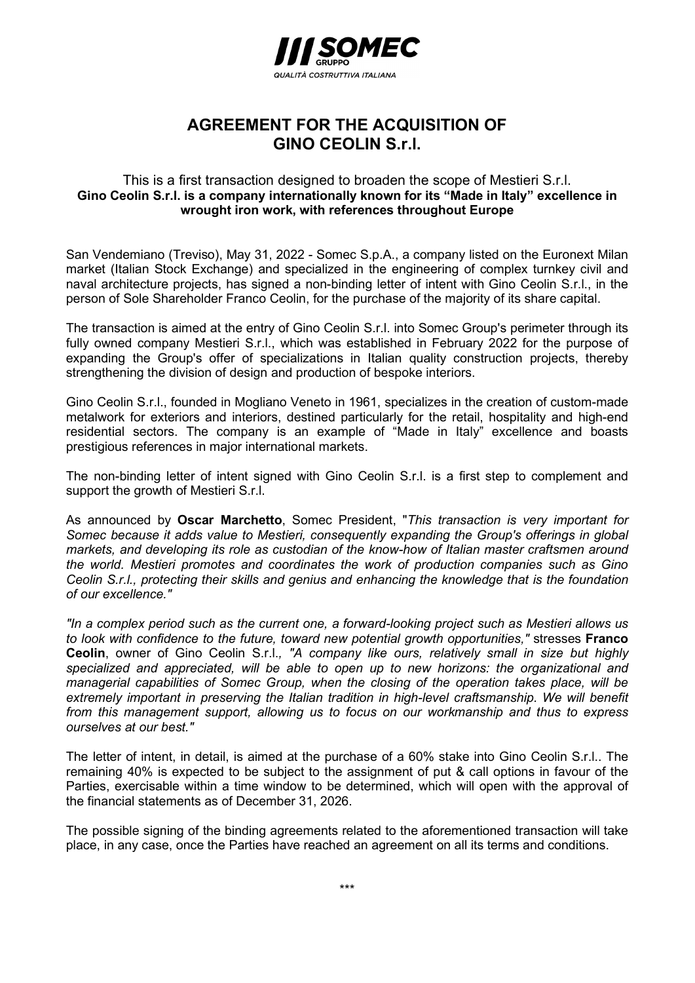

## AGREEMENT FOR THE ACQUISITION OF GINO CEOLIN S.r.l.

## This is a first transaction designed to broaden the scope of Mestieri S.r.l. Gino Ceolin S.r.l. is a company internationally known for its "Made in Italy" excellence in wrought iron work, with references throughout Europe

San Vendemiano (Treviso), May 31, 2022 - Somec S.p.A., a company listed on the Euronext Milan market (Italian Stock Exchange) and specialized in the engineering of complex turnkey civil and naval architecture projects, has signed a non-binding letter of intent with Gino Ceolin S.r.l., in the person of Sole Shareholder Franco Ceolin, for the purchase of the majority of its share capital.

The transaction is aimed at the entry of Gino Ceolin S.r.l. into Somec Group's perimeter through its fully owned company Mestieri S.r.l., which was established in February 2022 for the purpose of expanding the Group's offer of specializations in Italian quality construction projects, thereby strengthening the division of design and production of bespoke interiors.

Gino Ceolin S.r.l., founded in Mogliano Veneto in 1961, specializes in the creation of custom-made metalwork for exteriors and interiors, destined particularly for the retail, hospitality and high-end residential sectors. The company is an example of "Made in Italy" excellence and boasts prestigious references in major international markets.

The non-binding letter of intent signed with Gino Ceolin S.r.l. is a first step to complement and support the growth of Mestieri S.r.l.

As announced by Oscar Marchetto, Somec President, "This transaction is very important for Somec because it adds value to Mestieri, consequently expanding the Group's offerings in global markets, and developing its role as custodian of the know-how of Italian master craftsmen around the world. Mestieri promotes and coordinates the work of production companies such as Gino Ceolin S.r.l., protecting their skills and genius and enhancing the knowledge that is the foundation of our excellence."

"In a complex period such as the current one, a forward-looking project such as Mestieri allows us to look with confidence to the future, toward new potential growth opportunities," stresses **Franco** Ceolin, owner of Gino Ceolin S.r.l., "A company like ours, relatively small in size but highly specialized and appreciated, will be able to open up to new horizons: the organizational and managerial capabilities of Somec Group, when the closing of the operation takes place, will be extremely important in preserving the Italian tradition in high-level craftsmanship. We will benefit from this management support, allowing us to focus on our workmanship and thus to express ourselves at our best."

The letter of intent, in detail, is aimed at the purchase of a 60% stake into Gino Ceolin S.r.l.. The remaining 40% is expected to be subject to the assignment of put & call options in favour of the Parties, exercisable within a time window to be determined, which will open with the approval of the financial statements as of December 31, 2026.

The possible signing of the binding agreements related to the aforementioned transaction will take place, in any case, once the Parties have reached an agreement on all its terms and conditions.